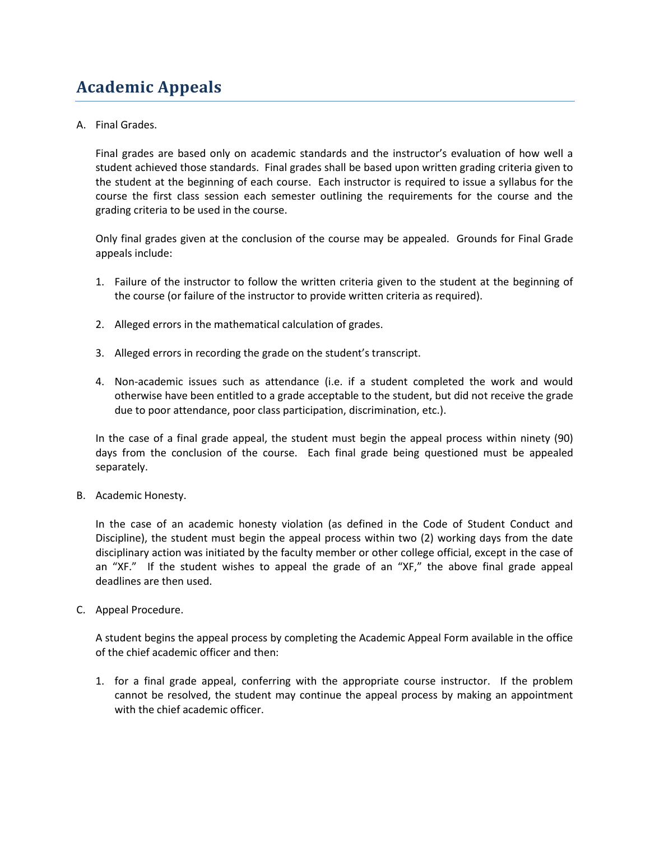## **Academic Appeals**

A. Final Grades.

Final grades are based only on academic standards and the instructor's evaluation of how well a student achieved those standards. Final grades shall be based upon written grading criteria given to the student at the beginning of each course. Each instructor is required to issue a syllabus for the course the first class session each semester outlining the requirements for the course and the grading criteria to be used in the course.

Only final grades given at the conclusion of the course may be appealed. Grounds for Final Grade appeals include:

- 1. Failure of the instructor to follow the written criteria given to the student at the beginning of the course (or failure of the instructor to provide written criteria as required).
- 2. Alleged errors in the mathematical calculation of grades.
- 3. Alleged errors in recording the grade on the student's transcript.
- 4. Non-academic issues such as attendance (i.e. if a student completed the work and would otherwise have been entitled to a grade acceptable to the student, but did not receive the grade due to poor attendance, poor class participation, discrimination, etc.).

In the case of a final grade appeal, the student must begin the appeal process within ninety (90) days from the conclusion of the course. Each final grade being questioned must be appealed separately.

B. Academic Honesty.

In the case of an academic honesty violation (as defined in the Code of Student Conduct and Discipline), the student must begin the appeal process within two (2) working days from the date disciplinary action was initiated by the faculty member or other college official, except in the case of an "XF." If the student wishes to appeal the grade of an "XF," the above final grade appeal deadlines are then used.

C. Appeal Procedure.

A student begins the appeal process by completing the Academic Appeal Form available in the office of the chief academic officer and then:

1. for a final grade appeal, conferring with the appropriate course instructor. If the problem cannot be resolved, the student may continue the appeal process by making an appointment with the chief academic officer.